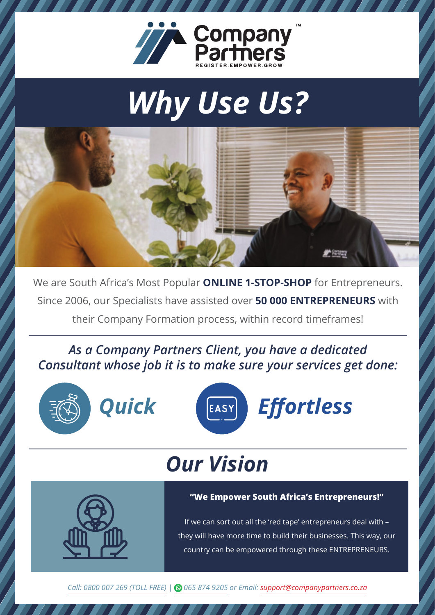

# *Why Use Us?*



We are South Africa's Most Popular **ONLINE 1-STOP-SHOP** for Entrepreneurs. Since 2006, our Specialists have assisted over **50 000 ENTREPRENEURS** with their Company Formation process, within record timeframes!

*> Consultant whose job it is to make sure your services get done: As a Company Partners Client, you have a dedicated*





## *Our Vision*

### **"We Empower South Africa's Entrepreneurs!"**

If we can sort out all the 'red tape' entrepreneurs deal with – they will have more time to build their businesses. This way, our country can be empowered through these ENTREPRENEURS.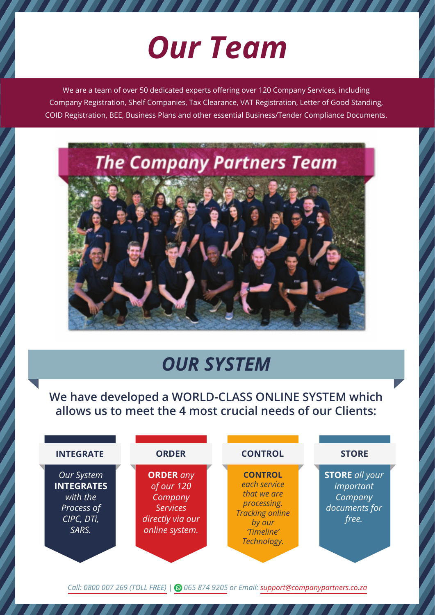# *Our Team*

We are a team of over 50 dedicated experts offering over 120 Company Services, including Company Registration, Shelf Companies, Tax Clearance, VAT Registration, Letter of Good Standing, COID Registration, BEE, Business Plans and other essential Business/Tender Compliance Documents.



## *OUR SYSTEM*

**We have developed a WORLD-CLASS ONLINE SYSTEM which allows us to meet the 4 most crucial needs of our Clients:**

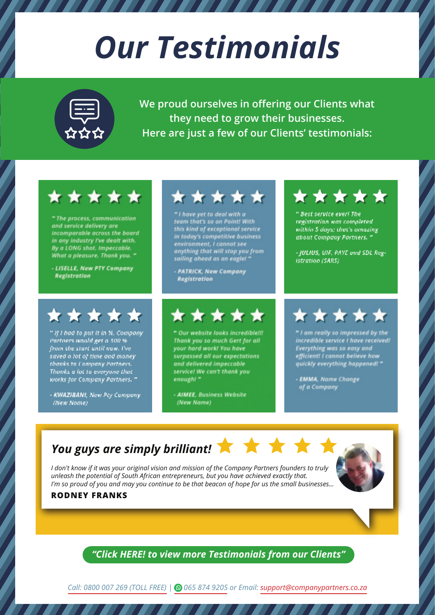# *Our Testimonials*

**We proud ourselves in offering our Clients what they need to grow their businesses. Here are just a few of our Clients' testimonials:**

### \*\*\*\*\*

" The process, communication and service delivery are incomparable across the board in any industry I've dealt with. By a LONG shot. Impeccable. What a pleasure. Thank you. "

- LISELLE, New PTY Company **Registration** 

## \*\*\*\*\*

" If I had to put it in %, Company. Partners would get a 100 % from the start until now. I've saved a lot of time and money thanks to Company Partners. Thanks a fot to everyone that works for Company Partners. "

- KWAZIBANI, New Pty Company (New Name)

## \*\*\*\*\*

" I have yet to deal with a team that's so on Point! With<br>this kind of exceptional service<br>in today's competitive business environment, I cannot see anything that will stop you from sailing ahead as an eaglet

- PATRICK, New Company **Registration** 

## \*\*\*\*\*

" Our website looks incredible!!! Thank you so much Gert for all your hard work! You have surpassed all our expectations and delivered impeccable service! We can't thank you enough! "



### \* \* \* \* \*

" Best service ever! The registration was completed. within 5 days: that's amazing about Company Partners.<sup>4</sup>

- JULIUS, UIF, PAYE and SDL Registration (SARS)

## \*\*\*\*\*

" I am really so impressed by the<br>incredible service I have received!<br>Everything was so easy and<br>efficient! I cannot believe how<br>quickly everything happened! "

- EMMA, Name Change of a Company

## You guys are simply brilliant!

*I don't know if it was your original vision and mission of the Company Partners founders to truly unleash the potential of South African entrepreneurs, but you have achieved exactly that. I'm so proud of you and may you continue to be that beacon of hope for us the small businesses...*



### **RODNEY FRANKS**

*["Click HERE! to view more Testimonials from our Clients"](https://companypartners.co.za/testimonials/)*

*[Call: 0800 007 269 \(TOLL FREE\)](https://companypartners.co.za/contact-us/) | [065 874 9205](https://api.whatsapp.com/send?phone=27658749205&text=Hi) or Email: [support@companypartners.co.za](mailto:support@companypartners.co.za)*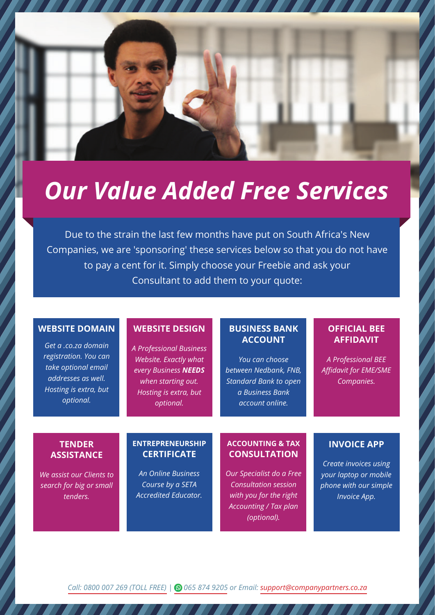

## *Our Value Added Free Services*

Due to the strain the last few months have put on South Africa's New Companies, we are 'sponsoring' these services below so that you do not have to pay a cent for it. Simply choose your Freebie and ask your Consultant to add them to your quote:

### **WEBSITE DOMAIN**

*Get a .co.za domain registration. You can take optional email addresses as well. Hosting is extra, but optional.*

#### **WEBSITE DESIGN**

*A Professional Business Website. Exactly what every Business NEEDS when starting out. Hosting is extra, but optional.*

### **BUSINESS BANK ACCOUNT**

*You can choose between Nedbank, FNB, Standard Bank to open a Business Bank account online.*

### **OFFICIAL BEE AFFIDAVIT**

*A Professional BEE Affidavit for EME/SME Companies.*

### **TENDER ASSISTANCE**

*We assist our Clients to search for big or small tenders.*

#### **ENTREPRENEURSHIP CERTIFICATE**

*An Online Business Course by a SETA Accredited Educator.*

#### **ACCOUNTING & TAX CONSULTATION**

*Our Specialist do a Free Consultation session with you for the right Accounting / Tax plan (optional).*

### **INVOICE APP**

*Create invoices using your laptop or mobile phone with our simple Invoice App.*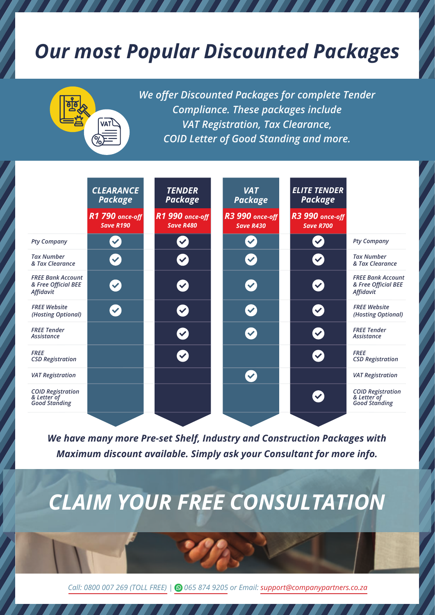## *Our most Popular Discounted Packages*

*We offer Discounted Packages for complete Tender* 

*Compliance. These packages include* 



*We have many more Pre-set Shelf, Industry and Construction Packages with Maximum discount available. Simply ask your Consultant for more info.*

## *CLAIM YOUR FREE CONSULTATION*

*[Call: 0800 007 269 \(TOLL FREE\) |](https://companypartners.co.za/contact-us/) [065 874 9205](https://api.whatsapp.com/send?phone=27658749205&text=Hi) or Email: [support@companypartners.co.za](mailto:support@companypartners.co.za)*